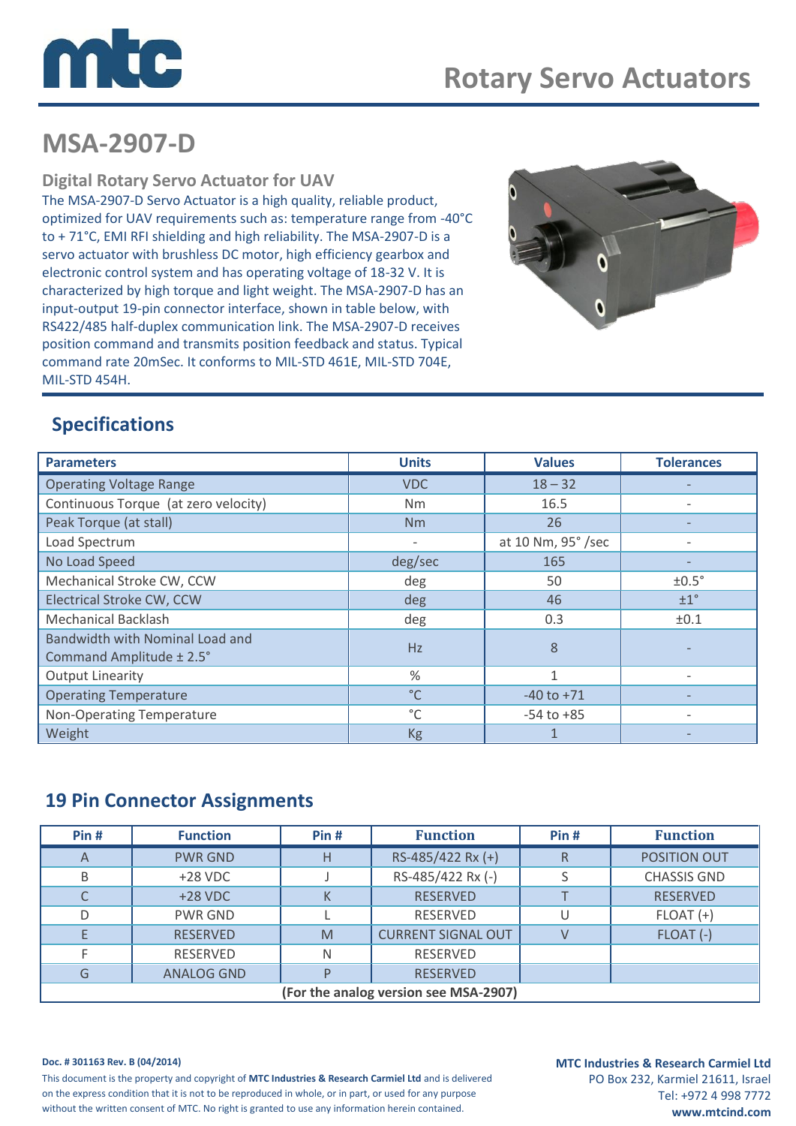

# **MSA-2907-D**

### **Digital Rotary Servo Actuator for UAV**

The MSA-2907-D Servo Actuator is a high quality, reliable product, optimized for UAV requirements such as: temperature range from -40°C to + 71°C, EMI RFI shielding and high reliability. The MSA-2907-D is a servo actuator with brushless DC motor, high efficiency gearbox and electronic control system and has operating voltage of 18-32 V. It is characterized by high torque and light weight. The MSA-2907-D has an input-output 19-pin connector interface, shown in table below, with RS422/485 half-duplex communication link. The MSA-2907-D receives position command and transmits position feedback and status. Typical command rate 20mSec. It conforms to MIL-STD 461E, MIL-STD 704E, MIL-STD 454H.



# **Specifications**

| <b>Parameters</b>                                           | <b>Units</b>      | <b>Values</b>      | <b>Tolerances</b> |
|-------------------------------------------------------------|-------------------|--------------------|-------------------|
| <b>Operating Voltage Range</b>                              | <b>VDC</b>        | $18 - 32$          |                   |
| Continuous Torque (at zero velocity)                        | Nm                | 16.5               |                   |
| Peak Torque (at stall)                                      | Nm                | 26                 |                   |
| Load Spectrum                                               | $\qquad \qquad -$ | at 10 Nm, 95° /sec |                   |
| No Load Speed                                               | deg/sec           | 165                |                   |
| Mechanical Stroke CW, CCW                                   | deg               | 50                 | $±0.5^\circ$      |
| <b>Electrical Stroke CW, CCW</b>                            | deg               | 46                 | ±1 <sup>°</sup>   |
| <b>Mechanical Backlash</b>                                  | deg               | 0.3                | ±0.1              |
| Bandwidth with Nominal Load and<br>Command Amplitude ± 2.5° | Hz                | 8                  |                   |
| <b>Output Linearity</b>                                     | %                 | 1                  |                   |
| <b>Operating Temperature</b>                                | $^{\circ}$ C      | $-40$ to $+71$     |                   |
| Non-Operating Temperature                                   | °C                | $-54$ to $+85$     |                   |
| Weight                                                      | Kg                | 1                  |                   |

## **19 Pin Connector Assignments**

| Pin#                                  | <b>Function</b>   | Pin# | <b>Function</b>           | Pin# | <b>Function</b>    |  |  |
|---------------------------------------|-------------------|------|---------------------------|------|--------------------|--|--|
| A                                     | <b>PWR GND</b>    | Н    | RS-485/422 Rx (+)         | R    | POSITION OUT       |  |  |
| B                                     | $+28$ VDC         |      | RS-485/422 Rx (-)         |      | <b>CHASSIS GND</b> |  |  |
|                                       | $+28$ VDC         |      | <b>RESERVED</b>           |      | <b>RESERVED</b>    |  |  |
| D                                     | <b>PWR GND</b>    |      | <b>RESERVED</b>           | U    | $FLOAT (+)$        |  |  |
|                                       | <b>RESERVED</b>   | M    | <b>CURRENT SIGNAL OUT</b> |      | FLOAT (-)          |  |  |
|                                       | <b>RESERVED</b>   | N    | <b>RESERVED</b>           |      |                    |  |  |
| G                                     | <b>ANALOG GND</b> |      | <b>RESERVED</b>           |      |                    |  |  |
| (For the analog version see MSA-2907) |                   |      |                           |      |                    |  |  |

#### **Doc. # 301163 Rev. B (04/2014)**

This document is the property and copyright of **MTC Industries & Research Carmiel Ltd** and is delivered on the express condition that it is not to be reproduced in whole, or in part, or used for any purpose without the written consent of MTC. No right is granted to use any information herein contained.